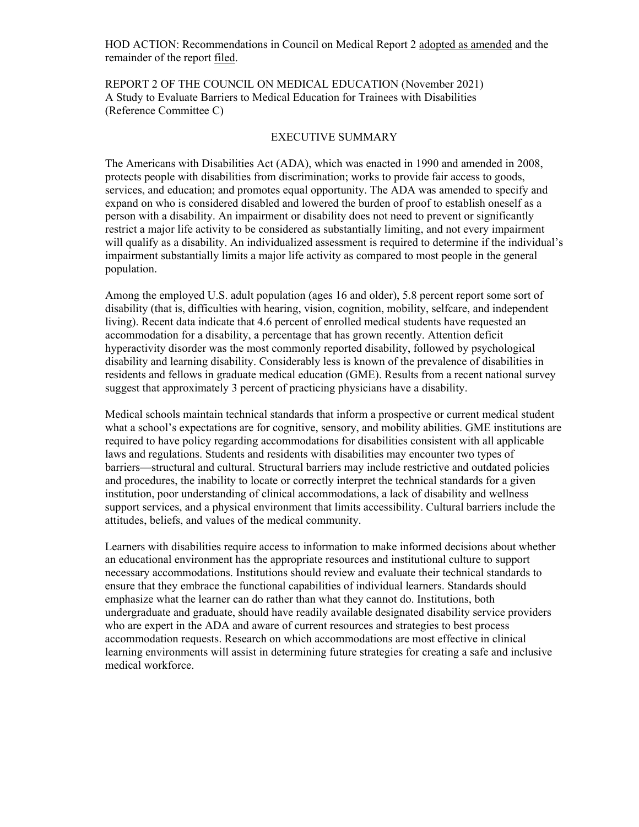HOD ACTION: Recommendations in Council on Medical Report 2 adopted as amended and the remainder of the report filed.

REPORT 2 OF THE COUNCIL ON MEDICAL EDUCATION (November 2021) A Study to Evaluate Barriers to Medical Education for Trainees with Disabilities (Reference Committee C)

#### EXECUTIVE SUMMARY

The Americans with Disabilities Act (ADA), which was enacted in 1990 and amended in 2008, protects people with disabilities from discrimination; works to provide fair access to goods, services, and education; and promotes equal opportunity. The ADA was amended to specify and expand on who is considered disabled and lowered the burden of proof to establish oneself as a person with a disability. An impairment or disability does not need to prevent or significantly restrict a major life activity to be considered as substantially limiting, and not every impairment will qualify as a disability. An individualized assessment is required to determine if the individual's impairment substantially limits a major life activity as compared to most people in the general population.

Among the employed U.S. adult population (ages 16 and older), 5.8 percent report some sort of disability (that is, difficulties with hearing, vision, cognition, mobility, selfcare, and independent living). Recent data indicate that 4.6 percent of enrolled medical students have requested an accommodation for a disability, a percentage that has grown recently. Attention deficit hyperactivity disorder was the most commonly reported disability, followed by psychological disability and learning disability. Considerably less is known of the prevalence of disabilities in residents and fellows in graduate medical education (GME). Results from a recent national survey suggest that approximately 3 percent of practicing physicians have a disability.

Medical schools maintain technical standards that inform a prospective or current medical student what a school's expectations are for cognitive, sensory, and mobility abilities. GME institutions are required to have policy regarding accommodations for disabilities consistent with all applicable laws and regulations. Students and residents with disabilities may encounter two types of barriers—structural and cultural. Structural barriers may include restrictive and outdated policies and procedures, the inability to locate or correctly interpret the technical standards for a given institution, poor understanding of clinical accommodations, a lack of disability and wellness support services, and a physical environment that limits accessibility. Cultural barriers include the attitudes, beliefs, and values of the medical community.

Learners with disabilities require access to information to make informed decisions about whether an educational environment has the appropriate resources and institutional culture to support necessary accommodations. Institutions should review and evaluate their technical standards to ensure that they embrace the functional capabilities of individual learners. Standards should emphasize what the learner can do rather than what they cannot do. Institutions, both undergraduate and graduate, should have readily available designated disability service providers who are expert in the ADA and aware of current resources and strategies to best process accommodation requests. Research on which accommodations are most effective in clinical learning environments will assist in determining future strategies for creating a safe and inclusive medical workforce.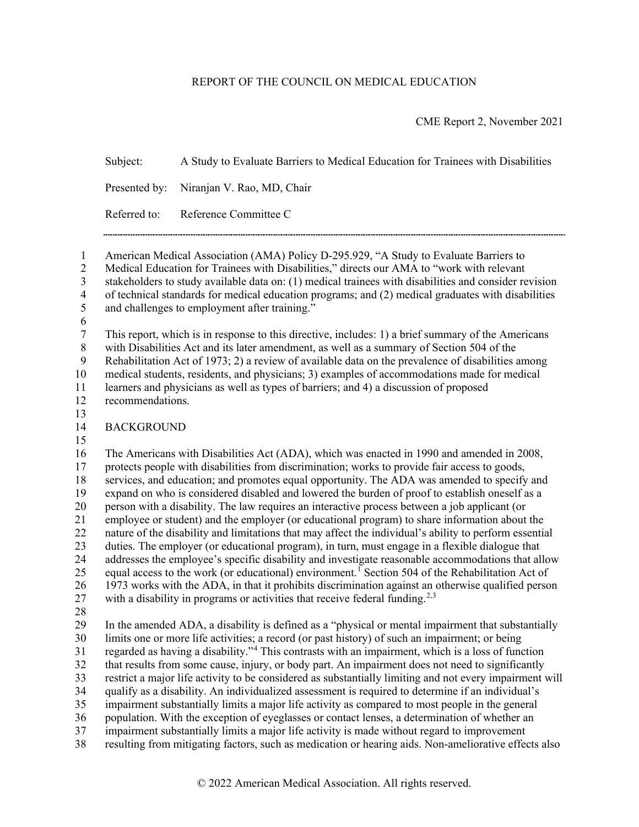#### REPORT OF THE COUNCIL ON MEDICAL EDUCATION

CME Report 2, November 2021

Subject: A Study to Evaluate Barriers to Medical Education for Trainees with Disabilities Presented by: Niranjan V. Rao, MD, Chair Referred to: Reference Committee C 

 American Medical Association (AMA) Policy D-295.929, "A Study to Evaluate Barriers to Medical Education for Trainees with Disabilities," directs our AMA to "work with relevant stakeholders to study available data on: (1) medical trainees with disabilities and consider revision of technical standards for medical education programs; and (2) medical graduates with disabilities and challenges to employment after training." This report, which is in response to this directive, includes: 1) a brief summary of the Americans with Disabilities Act and its later amendment, as well as a summary of Section 504 of the Rehabilitation Act of 1973; 2) a review of available data on the prevalence of disabilities among medical students, residents, and physicians; 3) examples of accommodations made for medical learners and physicians as well as types of barriers; and 4) a discussion of proposed recommendations. BACKGROUND The Americans with Disabilities Act (ADA), which was enacted in 1990 and amended in 2008, protects people with disabilities from discrimination; works to provide fair access to goods, services, and education; and promotes equal opportunity. The ADA was amended to specify and expand on who is considered disabled and lowered the burden of proof to establish oneself as a person with a disability. The law requires an interactive process between a job applicant (or employee or student) and the employer (or educational program) to share information about the nature of the disability and limitations that may affect the individual's ability to perform essential duties. The employer (or educational program), in turn, must engage in a flexible dialogue that addresses the employee's specific disability and investigate reasonable accommodations that allow 25 equal access to the work (or educational) environment.<sup>[1](#page-15-0)</sup> Section 504 of the Rehabilitation Act of 1973 works with the ADA, in that it prohibits discrimination against an otherwise qualified person 7 with a disability in programs or activities that receive federal funding.<sup>2,[3](#page-15-2)</sup> In the amended ADA, a disability is defined as a "physical or mental impairment that substantially limits one or more life activities; a record (or past history) of such an impairment; or being 31 regarded as having a disability."<sup>[4](#page-15-3)</sup> This contrasts with an impairment, which is a loss of function that results from some cause, injury, or body part. An impairment does not need to significantly restrict a major life activity to be considered as substantially limiting and not every impairment will qualify as a disability. An individualized assessment is required to determine if an individual's impairment substantially limits a major life activity as compared to most people in the general

- population. With the exception of eyeglasses or contact lenses, a determination of whether an
- impairment substantially limits a major life activity is made without regard to improvement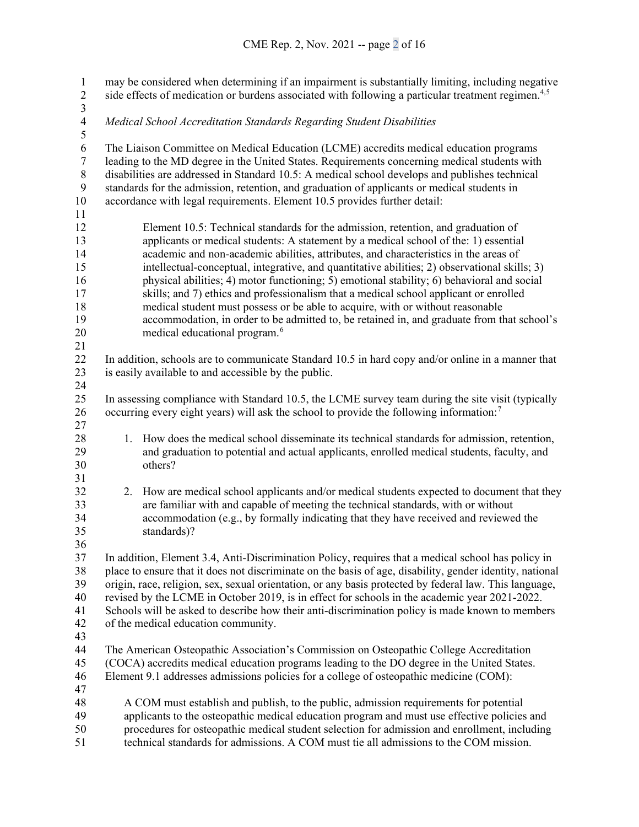may be considered when determining if an impairment is substantially limiting, including negative 2 side effects of medication or burdens associated with following a particular treatment regimen.<sup>4,[5](#page-15-4)</sup>  $\frac{3}{4}$  *Medical School Accreditation Standards Regarding Student Disabilities* 6 The Liaison Committee on Medical Education (LCME) accredits medical education programs<br>7 leading to the MD degree in the United States. Requirements concerning medical students with leading to the MD degree in the United States. Requirements concerning medical students with disabilities are addressed in Standard 10.5: A medical school develops and publishes technical standards for the admission, retention, and graduation of applicants or medical students in accordance with legal requirements. Element 10.5 provides further detail: Element 10.5: Technical standards for the admission, retention, and graduation of applicants or medical students: A statement by a medical school of the: 1) essential academic and non-academic abilities, attributes, and characteristics in the areas of intellectual-conceptual, integrative, and quantitative abilities; 2) observational skills; 3) physical abilities; 4) motor functioning; 5) emotional stability; 6) behavioral and social skills; and 7) ethics and professionalism that a medical school applicant or enrolled medical student must possess or be able to acquire, with or without reasonable accommodation, in order to be admitted to, be retained in, and graduate from that school's 20 medical educational program.<sup>[6](#page-15-5)</sup> In addition, schools are to communicate Standard 10.5 in hard copy and/or online in a manner that is easily available to and accessible by the public. In assessing compliance with Standard 10.5, the LCME survey team during the site visit (typically 26 occurring every eight years) will ask the school to provide the following information:<sup>[7](#page-15-6)</sup> 1. How does the medical school disseminate its technical standards for admission, retention, and graduation to potential and actual applicants, enrolled medical students, faculty, and others? 2. How are medical school applicants and/or medical students expected to document that they are familiar with and capable of meeting the technical standards, with or without accommodation (e.g., by formally indicating that they have received and reviewed the standards)? In addition, Element 3.4, Anti-Discrimination Policy, requires that a medical school has policy in place to ensure that it does not discriminate on the basis of age, disability, gender identity, national origin, race, religion, sex, sexual orientation, or any basis protected by federal law. This language, revised by the LCME in October 2019, is in effect for schools in the academic year 2021-2022. Schools will be asked to describe how their anti-discrimination policy is made known to members of the medical education community. The American Osteopathic Association's Commission on Osteopathic College Accreditation (COCA) accredits medical education programs leading to the DO degree in the United States. Element 9.1 addresses admissions policies for a college of osteopathic medicine (COM): A COM must establish and publish, to the public, admission requirements for potential applicants to the osteopathic medical education program and must use effective policies and procedures for osteopathic medical student selection for admission and enrollment, including technical standards for admissions. A COM must tie all admissions to the COM mission.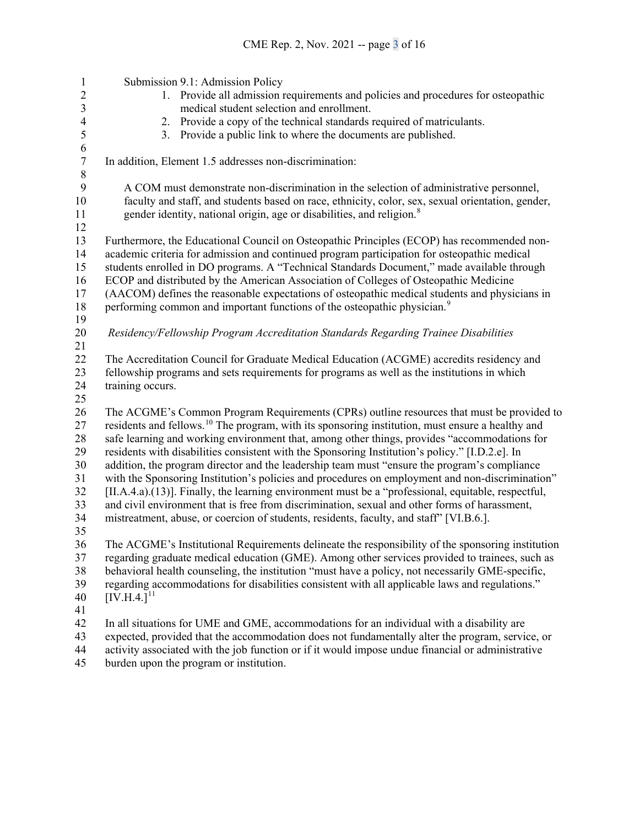Submission 9.1: Admission Policy 1. Provide all admission requirements and policies and procedures for osteopathic 3 medical student selection and enrollment.<br>4 2. Provide a copy of the technical standards is 2. Provide a copy of the technical standards required of matriculants.<br>3. Provide a public link to where the documents are published. 3. Provide a public link to where the documents are published. 6<br>7 In addition, Element 1.5 addresses non-discrimination: 8<br>9 A COM must demonstrate non-discrimination in the selection of administrative personnel, faculty and staff, and students based on race, ethnicity, color, sex, sexual orientation, gender, 11 gender identity, national origin, age or disabilities, and religion.<sup>[8](#page-15-7)</sup> Furthermore, the Educational Council on Osteopathic Principles (ECOP) has recommended non- academic criteria for admission and continued program participation for osteopathic medical students enrolled in DO programs. A "Technical Standards Document," made available through ECOP and distributed by the American Association of Colleges of Osteopathic Medicine (AACOM) defines the reasonable expectations of osteopathic medical students and physicians in 18 performing common and important functions of the osteopathic physician.<sup>[9](#page-15-8)</sup> *Residency/Fellowship Program Accreditation Standards Regarding Trainee Disabilities* The Accreditation Council for Graduate Medical Education (ACGME) accredits residency and fellowship programs and sets requirements for programs as well as the institutions in which training occurs. The ACGME's Common Program Requirements (CPRs) outline resources that must be provided to 27 residents and fellows.<sup>[10](#page-15-9)</sup> The program, with its sponsoring institution, must ensure a healthy and safe learning and working environment that, among other things, provides "accommodations for residents with disabilities consistent with the Sponsoring Institution's policy." [I.D.2.e]. In addition, the program director and the leadership team must "ensure the program's compliance with the Sponsoring Institution's policies and procedures on employment and non-discrimination" [II.A.4.a).(13)]. Finally, the learning environment must be a "professional, equitable, respectful, and civil environment that is free from discrimination, sexual and other forms of harassment, mistreatment, abuse, or coercion of students, residents, faculty, and staff" [VI.B.6.]. The ACGME's Institutional Requirements delineate the responsibility of the sponsoring institution regarding graduate medical education (GME). Among other services provided to trainees, such as behavioral health counseling, the institution "must have a policy, not necessarily GME-specific, regarding accommodations for disabilities consistent with all applicable laws and regulations." [IV.H.4.]<sup>[11](#page-15-10)</sup> In all situations for UME and GME, accommodations for an individual with a disability are expected, provided that the accommodation does not fundamentally alter the program, service, or activity associated with the job function or if it would impose undue financial or administrative

burden upon the program or institution.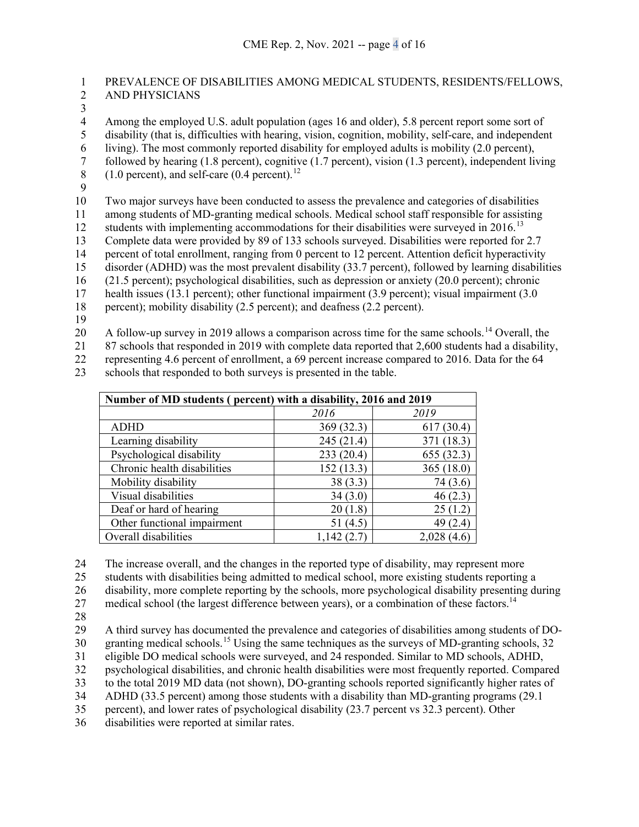# 1 PREVALENCE OF DISABILITIES AMONG MEDICAL STUDENTS, RESIDENTS/FELLOWS, 2 AND PHYSICIANS

 $\frac{3}{4}$ 

4 Among the employed U.S. adult population (ages 16 and older), 5.8 percent report some sort of disability (that is, difficulties with hearing, vision, cognition, mobility, self-care, and independent

disability (that is, difficulties with hearing, vision, cognition, mobility, self-care, and independent

6 living). The most commonly reported disability for employed adults is mobility (2.0 percent), followed by hearing (1.8 percent), cognitive (1.7 percent), vision (1.3 percent), independent liv

7 followed by hearing (1.8 percent), cognitive (1.7 percent), vision (1.3 percent), independent living (1.0 percent), and self-care (0.4 percent).<sup>12</sup>

 $(1.0 \text{ percent})$ , and self-care  $(0.4 \text{ percent})$ .<sup>[12](#page-15-11)</sup>

9

10 Two major surveys have been conducted to assess the prevalence and categories of disabilities

11 among students of MD-granting medical schools. Medical school staff responsible for assisting

12 students with implementing accommodations for their disabilities were surveyed in 2016.<sup>[13](#page-15-12)</sup>

13 Complete data were provided by 89 of 133 schools surveyed. Disabilities were reported for 2.7

14 percent of total enrollment, ranging from 0 percent to 12 percent. Attention deficit hyperactivity

15 disorder (ADHD) was the most prevalent disability (33.7 percent), followed by learning disabilities

16 (21.5 percent); psychological disabilities, such as depression or anxiety (20.0 percent); chronic

17 health issues (13.1 percent); other functional impairment (3.9 percent); visual impairment (3.0

18 percent); mobility disability (2.5 percent); and deafness (2.2 percent).

19

20 A follow-up survey in 2019 allows a comparison across time for the same schools.<sup>[14](#page-15-13)</sup> Overall, the

21 87 schools that responded in 2019 with complete data reported that 2,600 students had a disability,

22 representing 4.6 percent of enrollment, a 69 percent increase compared to 2016. Data for the 64

23 schools that responded to both surveys is presented in the table.

| Number of MD students (percent) with a disability, 2016 and 2019 |            |             |
|------------------------------------------------------------------|------------|-------------|
|                                                                  | 2016       | 2019        |
| <b>ADHD</b>                                                      | 369(32.3)  | 617(30.4)   |
| Learning disability                                              | 245(21.4)  | 371 (18.3)  |
| Psychological disability                                         | 233(20.4)  | 655(32.3)   |
| Chronic health disabilities                                      | 152(13.3)  | 365(18.0)   |
| Mobility disability                                              | 38(3.3)    | 74(3.6)     |
| Visual disabilities                                              | 34(3.0)    | 46(2.3)     |
| Deaf or hard of hearing                                          | 20(1.8)    | 25(1.2)     |
| Other functional impairment                                      | 51 (4.5)   | 49 (2.4)    |
| Overall disabilities                                             | 1,142(2.7) | 2,028 (4.6) |

24 The increase overall, and the changes in the reported type of disability, may represent more

25 students with disabilities being admitted to medical school, more existing students reporting a

26 disability, more complete reporting by the schools, more psychological disability presenting during

27 medical school (the largest difference between years), or a combination of these factors.<sup>14</sup>

28

29 A third survey has documented the prevalence and categories of disabilities among students of DO-

30 granting medical schools.<sup>[15](#page-15-14)</sup> Using the same techniques as the surveys of MD-granting schools, 32 31 eligible DO medical schools were surveyed, and 24 responded. Similar to MD schools, ADHD,

32 psychological disabilities, and chronic health disabilities were most frequently reported. Compared 33 to the total 2019 MD data (not shown), DO-granting schools reported significantly higher rates of

34 ADHD (33.5 percent) among those students with a disability than MD-granting programs (29.1

35 percent), and lower rates of psychological disability (23.7 percent vs 32.3 percent). Other

36 disabilities were reported at similar rates.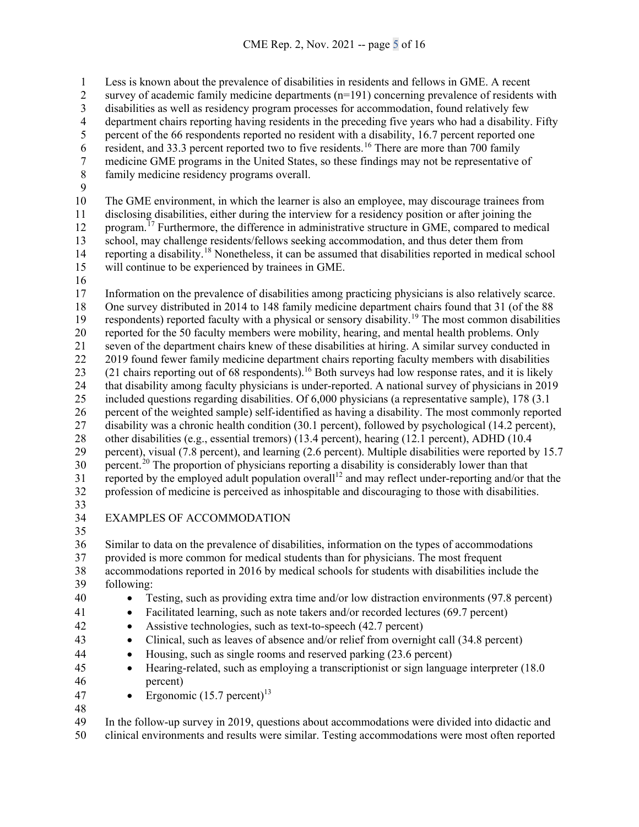Less is known about the prevalence of disabilities in residents and fellows in GME. A recent survey of academic family medicine departments (n=191) concerning prevalence of residents with 3 disabilities as well as residency program processes for accommodation, found relatively few<br>4 department chairs reporting having residents in the preceding five years who had a disability. 4 department chairs reporting having residents in the preceding five years who had a disability. Fifty<br>5 ercent of the 66 respondents reported no resident with a disability, 16.7 percent reported one percent of the 66 respondents reported no resident with a disability, 16.7 percent reported one resident, and 33.3 percent reported two to five residents.<sup>[16](#page-16-0)</sup> There are more than 700 family<br>medicine GME programs in the United States, so these findings may not be representative

7 medicine GME programs in the United States, so these findings may not be representative of family medicine residency programs overall.

- family medicine residency programs overall.
- 

The GME environment, in which the learner is also an employee, may discourage trainees from

 disclosing disabilities, either during the interview for a residency position or after joining the 12 program.<sup> $17$ </sup> Furthermore, the difference in administrative structure in GME, compared to medical

school, may challenge residents/fellows seeking accommodation, and thus deter them from

14 reporting a disability.<sup>[18](#page-16-2)</sup> Nonetheless, it can be assumed that disabilities reported in medical school will continue to be experienced by trainees in GME.

 Information on the prevalence of disabilities among practicing physicians is also relatively scarce. One survey distributed in 2014 to 148 family medicine department chairs found that 31 (of the 88 respondents) reported faculty with a physical or sensory disability.<sup>[19](#page-16-3)</sup> The most common disabilities reported for the 50 faculty members were mobility, hearing, and mental health problems. Only seven of the department chairs knew of these disabilities at hiring. A similar survey conducted in 22 2019 found fewer family medicine department chairs reporting faculty members with disabilities 23 (21 chairs reporting out of 68 respondents).<sup>16</sup> Both surveys had low response rates, and it is likely that disability among faculty physicians is under-reported. A national survey of physicians in 2019 included questions regarding disabilities. Of 6,000 physicians (a representative sample), 178 (3.1 percent of the weighted sample) self-identified as having a disability. The most commonly reported disability was a chronic health condition (30.1 percent), followed by psychological (14.2 percent), 28 other disabilities (e.g., essential tremors) (13.4 percent), hearing (12.1 percent), ADHD (10.4 percent), visual (7.8 percent), and learning (2.6 percent). Multiple disabilities were reported by 15.7 30 percent.<sup>[20](#page-16-4)</sup> The proportion of physicians reporting a disability is considerably lower than that 31 reported by the employed adult population overall<sup>12</sup> and may reflect under-reporting and/or that the profession of medicine is perceived as inhospitable and discouraging to those with disabilities. 

# EXAMPLES OF ACCOMMODATION

 Similar to data on the prevalence of disabilities, information on the types of accommodations provided is more common for medical students than for physicians. The most frequent accommodations reported in 2016 by medical schools for students with disabilities include the following:

- Testing, such as providing extra time and/or low distraction environments (97.8 percent)
- Facilitated learning, such as note takers and/or recorded lectures (69.7 percent)
- Assistive technologies, such as text-to-speech (42.7 percent)
- Clinical, such as leaves of absence and/or relief from overnight call (34.8 percent)
- Housing, such as single rooms and reserved parking (23.6 percent)
- Hearing-related, such as employing a transcriptionist or sign language interpreter (18.0 percent)
- 47 Ergonomic  $(15.7 \text{ percent})^{13}$
- 

 In the follow-up survey in 2019, questions about accommodations were divided into didactic and clinical environments and results were similar. Testing accommodations were most often reported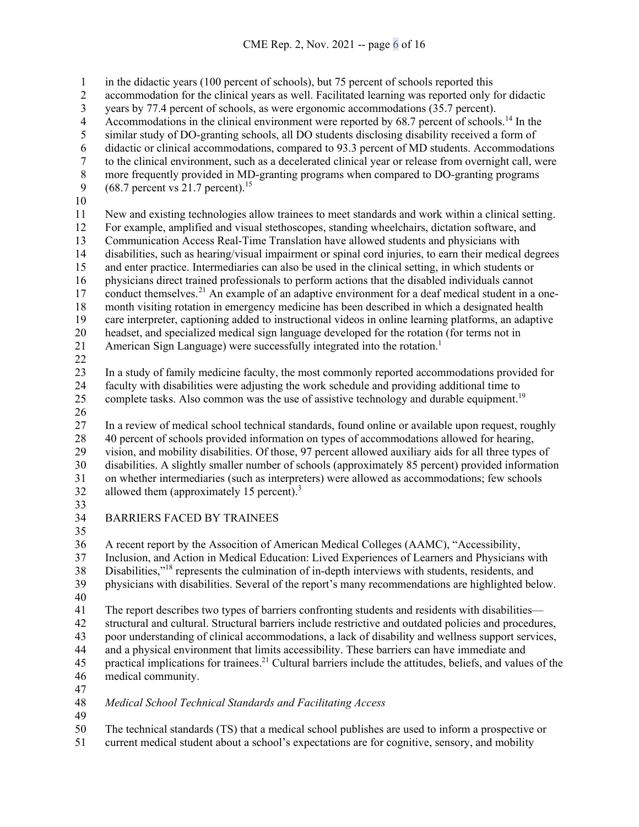in the didactic years (100 percent of schools), but 75 percent of schools reported this

- accommodation for the clinical years as well. Facilitated learning was reported only for didactic
- 3 years by 77.4 percent of schools, as were ergonomic accommodations (35.7 percent).<br>4 Accommodations in the clinical environment were reported by 68.7 percent of school
- Accommodations in the clinical environment were reported by  $68.7$  percent of schools.<sup>14</sup> In the
- similar study of DO-granting schools, all DO students disclosing disability received a form of
- didactic or clinical accommodations, compared to 93.3 percent of MD students. Accommodations
- 7 to the clinical environment, such as a decelerated clinical year or release from overnight call, were<br>8 more frequently provided in MD-granting programs when compared to DO-granting programs
- 8 more frequently provided in MD-granting programs when compared to DO-granting programs (68.7 percent vs 21.7 percent).<sup>15</sup>
- $(68.7 \text{ percent vs } 21.7 \text{ percent})$ .<sup>15</sup>
- 

 New and existing technologies allow trainees to meet standards and work within a clinical setting. For example, amplified and visual stethoscopes, standing wheelchairs, dictation software, and Communication Access Real-Time Translation have allowed students and physicians with disabilities, such as hearing/visual impairment or spinal cord injuries, to earn their medical degrees and enter practice. Intermediaries can also be used in the clinical setting, in which students or physicians direct trained professionals to perform actions that the disabled individuals cannot 17 conduct themselves.<sup>[21](#page-16-5)</sup> An example of an adaptive environment for a deaf medical student in a one- month visiting rotation in emergency medicine has been described in which a designated health care interpreter, captioning added to instructional videos in online learning platforms, an adaptive headset, and specialized medical sign language developed for the rotation (for terms not in

- 21 American Sign Language) were successfully integrated into the rotation.<sup>1</sup>
- 

 In a study of family medicine faculty, the most commonly reported accommodations provided for faculty with disabilities were adjusting the work schedule and providing additional time to

- 25 complete tasks. Also common was the use of assistive technology and durable equipment.<sup>19</sup>
- 

 In a review of medical school technical standards, found online or available upon request, roughly 40 percent of schools provided information on types of accommodations allowed for hearing, vision, and mobility disabilities. Of those, 97 percent allowed auxiliary aids for all three types of disabilities. A slightly smaller number of schools (approximately 85 percent) provided information on whether intermediaries (such as interpreters) were allowed as accommodations; few schools 32 allowed them (approximately 15 percent).

- 
- BARRIERS FACED BY TRAINEES
- 

A recent report by the Assocition of American Medical Colleges (AAMC), "Accessibility,

Inclusion, and Action in Medical Education: Lived Experiences of Learners and Physicians with

38 Disabilities,"<sup>18</sup> represents the culmination of in-depth interviews with students, residents, and

physicians with disabilities. Several of the report's many recommendations are highlighted below.

 The report describes two types of barriers confronting students and residents with disabilities— structural and cultural. Structural barriers include restrictive and outdated policies and procedures, poor understanding of clinical accommodations, a lack of disability and wellness support services,

- and a physical environment that limits accessibility. These barriers can have immediate and
- 45 practical implications for trainees.<sup>21</sup> Cultural barriers include the attitudes, beliefs, and values of the medical community.
- 
- *Medical School Technical Standards and Facilitating Access*
- 

The technical standards (TS) that a medical school publishes are used to inform a prospective or

current medical student about a school's expectations are for cognitive, sensory, and mobility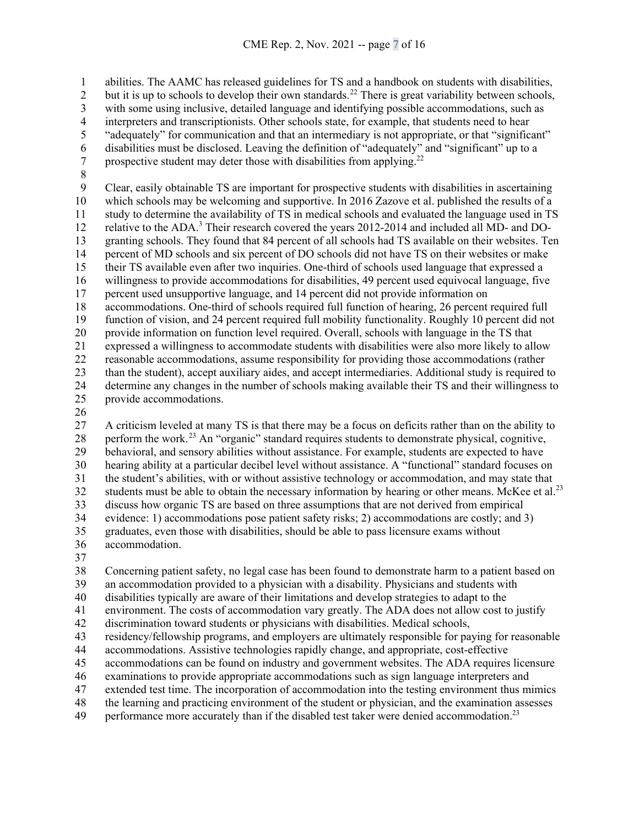abilities. The AAMC has released guidelines for TS and a handbook on students with disabilities,

but it is up to schools to develop their own standards.<sup>[22](#page-16-6)</sup> There is great variability between schools,

3 with some using inclusive, detailed language and identifying possible accommodations, such as interpreters and transcriptionists. Other schools state, for example, that students need to hear

4 interpreters and transcriptionists. Other schools state, for example, that students need to hear<br>5 "adequately" for communication and that an intermediary is not appropriate, or that "signific-"adequately" for communication and that an intermediary is not appropriate, or that "significant"

6 disabilities must be disclosed. Leaving the definition of "adequately" and "significant" up to a prospective student may deter those with disabilities from applying.<sup>22</sup> prospective student may deter those with disabilities from applying.<sup>22</sup>

8<br>9 Clear, easily obtainable TS are important for prospective students with disabilities in ascertaining which schools may be welcoming and supportive. In 2016 Zazove et al. published the results of a study to determine the availability of TS in medical schools and evaluated the language used in TS 12 relative to the ADA.<sup>3</sup> Their research covered the years 2012-2014 and included all MD- and DO- granting schools. They found that 84 percent of all schools had TS available on their websites. Ten percent of MD schools and six percent of DO schools did not have TS on their websites or make their TS available even after two inquiries. One-third of schools used language that expressed a willingness to provide accommodations for disabilities, 49 percent used equivocal language, five percent used unsupportive language, and 14 percent did not provide information on accommodations. One-third of schools required full function of hearing, 26 percent required full function of vision, and 24 percent required full mobility functionality. Roughly 10 percent did not provide information on function level required. Overall, schools with language in the TS that expressed a willingness to accommodate students with disabilities were also more likely to allow reasonable accommodations, assume responsibility for providing those accommodations (rather than the student), accept auxiliary aides, and accept intermediaries. Additional study is required to determine any changes in the number of schools making available their TS and their willingness to provide accommodations.

 A criticism leveled at many TS is that there may be a focus on deficits rather than on the ability to perform the work.[23](#page-16-7) An "organic" standard requires students to demonstrate physical, cognitive, behavioral, and sensory abilities without assistance. For example, students are expected to have hearing ability at a particular decibel level without assistance. A "functional" standard focuses on the student's abilities, with or without assistive technology or accommodation, and may state that 32 students must be able to obtain the necessary information by hearing or other means. McKee et al.<sup>23</sup> discuss how organic TS are based on three assumptions that are not derived from empirical evidence: 1) accommodations pose patient safety risks; 2) accommodations are costly; and 3) graduates, even those with disabilities, should be able to pass licensure exams without accommodation.

 Concerning patient safety, no legal case has been found to demonstrate harm to a patient based on an accommodation provided to a physician with a disability. Physicians and students with

disabilities typically are aware of their limitations and develop strategies to adapt to the

environment. The costs of accommodation vary greatly. The ADA does not allow cost to justify

discrimination toward students or physicians with disabilities. Medical schools,

residency/fellowship programs, and employers are ultimately responsible for paying for reasonable

accommodations. Assistive technologies rapidly change, and appropriate, cost-effective

accommodations can be found on industry and government websites. The ADA requires licensure

examinations to provide appropriate accommodations such as sign language interpreters and

extended test time. The incorporation of accommodation into the testing environment thus mimics

the learning and practicing environment of the student or physician, and the examination assesses

49 performance more accurately than if the disabled test taker were denied accommodation.<sup>23</sup>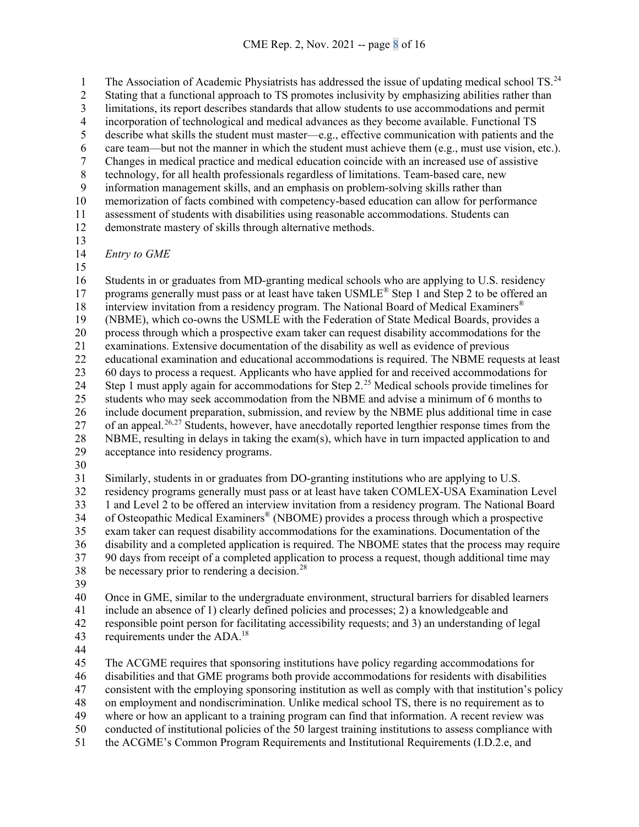The Association of Academic Physiatrists has addressed the issue of updating medical school TS.<sup>[24](#page-16-8)</sup> 2 Stating that a functional approach to TS promotes inclusivity by emphasizing abilities rather than 3 limitations, its report describes standards that allow students to use accommodations and permit<br>4 incorporation of technological and medical advances as they become available. Functional TS 4 incorporation of technological and medical advances as they become available. Functional TS<br>5 describe what skills the student must master—e.g., effective communication with patients and describe what skills the student must master—e.g., effective communication with patients and the 6 care team—but not the manner in which the student must achieve them (e.g., must use vision, etc.).<br>7 Changes in medical practice and medical education coincide with an increased use of assistive 7 Changes in medical practice and medical education coincide with an increased use of assistive technology, for all health professionals regardless of limitations. Team-based care, new 8 technology, for all health professionals regardless of limitations. Team-based care, new<br>9 information management skills, and an emphasis on problem-solving skills rather than information management skills, and an emphasis on problem-solving skills rather than memorization of facts combined with competency-based education can allow for performance assessment of students with disabilities using reasonable accommodations. Students can demonstrate mastery of skills through alternative methods. *Entry to GME* 

 Students in or graduates from MD-granting medical schools who are applying to U.S. residency 17 programs generally must pass or at least have taken  $\text{USMLE}^{\circledast}$  Step 1 and Step 2 to be offered an 18 interview invitation from a residency program. The National Board of Medical Examiners<sup>®</sup> (NBME), which co-owns the USMLE with the Federation of State Medical Boards, provides a process through which a prospective exam taker can request disability accommodations for the examinations. Extensive documentation of the disability as well as evidence of previous educational examination and educational accommodations is required. The NBME requests at least 60 days to process a request. Applicants who have applied for and received accommodations for 24 Step 1 must apply again for accommodations for Step  $2.^{25}$  $2.^{25}$  $2.^{25}$  Medical schools provide timelines for students who may seek accommodation from the NBME and advise a minimum of 6 months to include document preparation, submission, and review by the NBME plus additional time in case 27 of an appeal.<sup>[26,](#page-16-10)[27](#page-16-11)</sup> Students, however, have anecdotally reported lengthier response times from the NBME, resulting in delays in taking the exam(s), which have in turn impacted application to and acceptance into residency programs.

Similarly, students in or graduates from DO-granting institutions who are applying to U.S.

 residency programs generally must pass or at least have taken COMLEX-USA Examination Level 1 and Level 2 to be offered an interview invitation from a residency program. The National Board 34 of Osteopathic Medical Examiners® (NBOME) provides a process through which a prospective exam taker can request disability accommodations for the examinations. Documentation of the disability and a completed application is required. The NBOME states that the process may require 90 days from receipt of a completed application to process a request, though additional time may be necessary prior to rendering a decision.<sup>[28](#page-16-12)</sup>

 Once in GME, similar to the undergraduate environment, structural barriers for disabled learners include an absence of 1) clearly defined policies and processes; 2) a knowledgeable and responsible point person for facilitating accessibility requests; and 3) an understanding of legal 43 requirements under the ADA.<sup>18</sup>

 The ACGME requires that sponsoring institutions have policy regarding accommodations for disabilities and that GME programs both provide accommodations for residents with disabilities consistent with the employing sponsoring institution as well as comply with that institution's policy on employment and nondiscrimination. Unlike medical school TS, there is no requirement as to where or how an applicant to a training program can find that information. A recent review was

 conducted of institutional policies of the 50 largest training institutions to assess compliance with the ACGME's Common Program Requirements and Institutional Requirements (I.D.2.e, and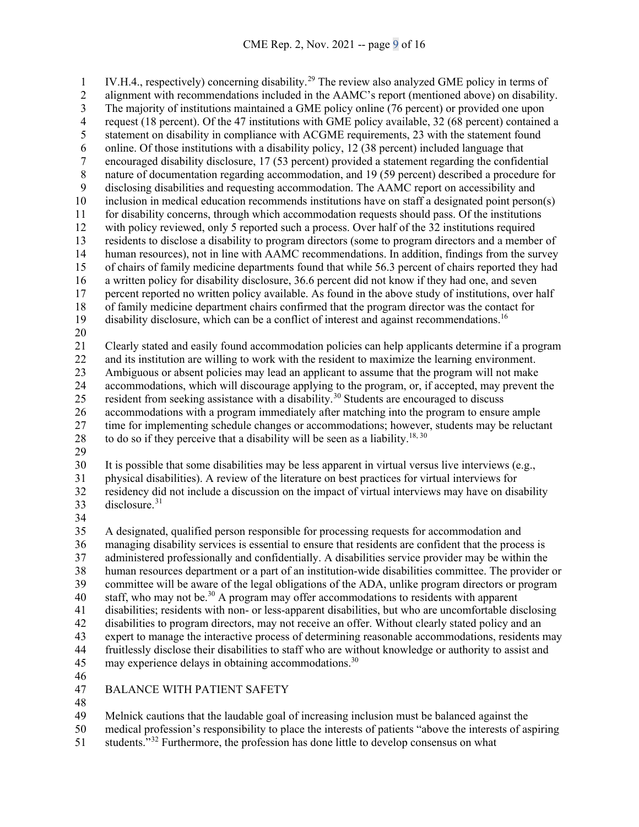IV.H.4., respectively) concerning disability.<sup>[29](#page-16-13)</sup> The review also analyzed GME policy in terms of alignment with recommendations included in the AAMC's report (mentioned above) on disability. 3 The majority of institutions maintained a GME policy online (76 percent) or provided one upon<br>4 request (18 percent). Of the 47 institutions with GME policy available, 32 (68 percent) contained 4 request (18 percent). Of the 47 institutions with GME policy available, 32 (68 percent) contained a<br>5 statement on disability in compliance with ACGME requirements, 23 with the statement found statement on disability in compliance with ACGME requirements, 23 with the statement found 6 online. Of those institutions with a disability policy, 12 (38 percent) included language that<br>7 encouraged disability disclosure, 17 (53 percent) provided a statement regarding the confide encouraged disability disclosure, 17 (53 percent) provided a statement regarding the confidential 8 nature of documentation regarding accommodation, and 19 (59 percent) described a procedure for<br>9 disclosing disabilities and requesting accommodation. The AAMC report on accessibility and disclosing disabilities and requesting accommodation. The AAMC report on accessibility and inclusion in medical education recommends institutions have on staff a designated point person(s) for disability concerns, through which accommodation requests should pass. Of the institutions with policy reviewed, only 5 reported such a process. Over half of the 32 institutions required residents to disclose a disability to program directors (some to program directors and a member of human resources), not in line with AAMC recommendations. In addition, findings from the survey of chairs of family medicine departments found that while 56.3 percent of chairs reported they had a written policy for disability disclosure, 36.6 percent did not know if they had one, and seven percent reported no written policy available. As found in the above study of institutions, over half of family medicine department chairs confirmed that the program director was the contact for 19 disability disclosure, which can be a conflict of interest and against recommendations.<sup>16</sup> Clearly stated and easily found accommodation policies can help applicants determine if a program and its institution are willing to work with the resident to maximize the learning environment. Ambiguous or absent policies may lead an applicant to assume that the program will not make accommodations, which will discourage applying to the program, or, if accepted, may prevent the 25 resident from seeking assistance with a disability.<sup>[30](#page-16-14)</sup> Students are encouraged to discuss accommodations with a program immediately after matching into the program to ensure ample time for implementing schedule changes or accommodations; however, students may be reluctant 28 to do so if they perceive that a disability will be seen as a liability.<sup>18, 30</sup> It is possible that some disabilities may be less apparent in virtual versus live interviews (e.g., physical disabilities). A review of the literature on best practices for virtual interviews for residency did not include a discussion on the impact of virtual interviews may have on disability 33 disclosure.<sup>[31](#page-16-15)</sup>

 A designated, qualified person responsible for processing requests for accommodation and managing disability services is essential to ensure that residents are confident that the process is administered professionally and confidentially. A disabilities service provider may be within the human resources department or a part of an institution-wide disabilities committee. The provider or committee will be aware of the legal obligations of the ADA, unlike program directors or program 40 staff, who may not be.<sup>30</sup> A program may offer accommodations to residents with apparent disabilities; residents with non- or less-apparent disabilities, but who are uncomfortable disclosing disabilities to program directors, may not receive an offer. Without clearly stated policy and an expert to manage the interactive process of determining reasonable accommodations, residents may fruitlessly disclose their disabilities to staff who are without knowledge or authority to assist and 45 may experience delays in obtaining accommodations.<sup>30</sup> 

# BALANCE WITH PATIENT SAFETY

Melnick cautions that the laudable goal of increasing inclusion must be balanced against the

medical profession's responsibility to place the interests of patients "above the interests of aspiring

51 students."<sup>[32](#page-16-0)</sup> Furthermore, the profession has done little to develop consensus on what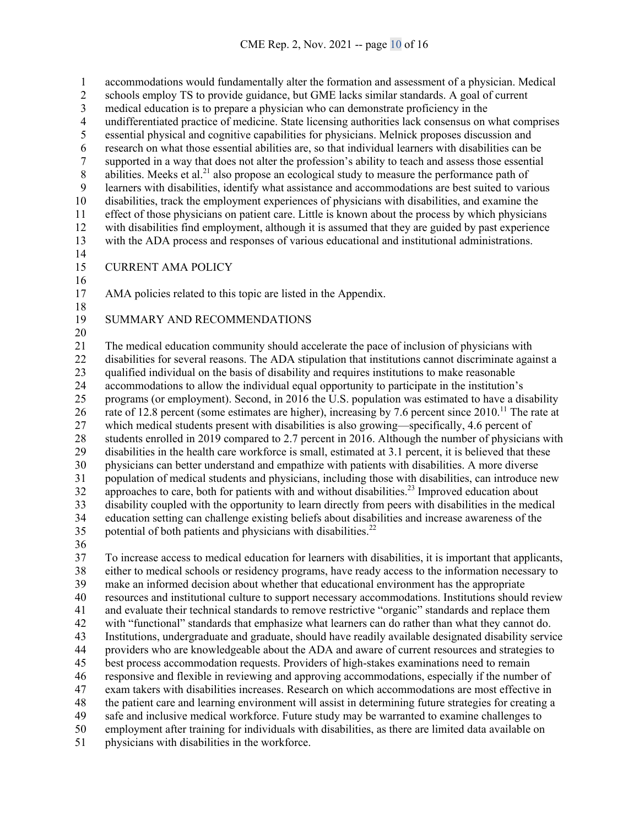accommodations would fundamentally alter the formation and assessment of a physician. Medical schools employ TS to provide guidance, but GME lacks similar standards. A goal of current 3 medical education is to prepare a physician who can demonstrate proficiency in the undifferentiated practice of medicine. State licensing authorities lack consensus on 4 undifferentiated practice of medicine. State licensing authorities lack consensus on what comprises<br>5 essential physical and cognitive capabilities for physicians. Melnick proposes discussion and essential physical and cognitive capabilities for physicians. Melnick proposes discussion and research on what those essential abilities are, so that individual learners with disabilities can be 7 supported in a way that does not alter the profession's ability to teach and assess those essential<br>8 abilities. Meeks et al.<sup>21</sup> also propose an ecological study to measure the performance path of abilities. Meeks et al.<sup>21</sup> also propose an ecological study to measure the performance path of learners with disabilities, identify what assistance and accommodations are best suited to vari learners with disabilities, identify what assistance and accommodations are best suited to various disabilities, track the employment experiences of physicians with disabilities, and examine the effect of those physicians on patient care. Little is known about the process by which physicians with disabilities find employment, although it is assumed that they are guided by past experience with the ADA process and responses of various educational and institutional administrations. CURRENT AMA POLICY AMA policies related to this topic are listed in the Appendix. SUMMARY AND RECOMMENDATIONS The medical education community should accelerate the pace of inclusion of physicians with disabilities for several reasons. The ADA stipulation that institutions cannot discriminate against a qualified individual on the basis of disability and requires institutions to make reasonable accommodations to allow the individual equal opportunity to participate in the institution's programs (or employment). Second, in 2016 the U.S. population was estimated to have a disability 26 rate of 12.8 percent (some estimates are higher), increasing by 7.6 percent since .<sup>11</sup> The rate at which medical students present with disabilities is also growing—specifically, 4.6 percent of students enrolled in 2019 compared to 2.7 percent in 2016. Although the number of physicians with disabilities in the health care workforce is small, estimated at 3.1 percent, it is believed that these physicians can better understand and empathize with patients with disabilities. A more diverse population of medical students and physicians, including those with disabilities, can introduce new  $\frac{1}{2}$  approaches to care, both for patients with and without disabilities.<sup>23</sup> Improved education about disability coupled with the opportunity to learn directly from peers with disabilities in the medical education setting can challenge existing beliefs about disabilities and increase awareness of the 35 potential of both patients and physicians with disabilities.<sup>22</sup> To increase access to medical education for learners with disabilities, it is important that applicants, either to medical schools or residency programs, have ready access to the information necessary to make an informed decision about whether that educational environment has the appropriate resources and institutional culture to support necessary accommodations. Institutions should review and evaluate their technical standards to remove restrictive "organic" standards and replace them with "functional" standards that emphasize what learners can do rather than what they cannot do. Institutions, undergraduate and graduate, should have readily available designated disability service providers who are knowledgeable about the ADA and aware of current resources and strategies to

best process accommodation requests. Providers of high-stakes examinations need to remain

responsive and flexible in reviewing and approving accommodations, especially if the number of

exam takers with disabilities increases. Research on which accommodations are most effective in

 the patient care and learning environment will assist in determining future strategies for creating a safe and inclusive medical workforce. Future study may be warranted to examine challenges to

employment after training for individuals with disabilities, as there are limited data available on

physicians with disabilities in the workforce.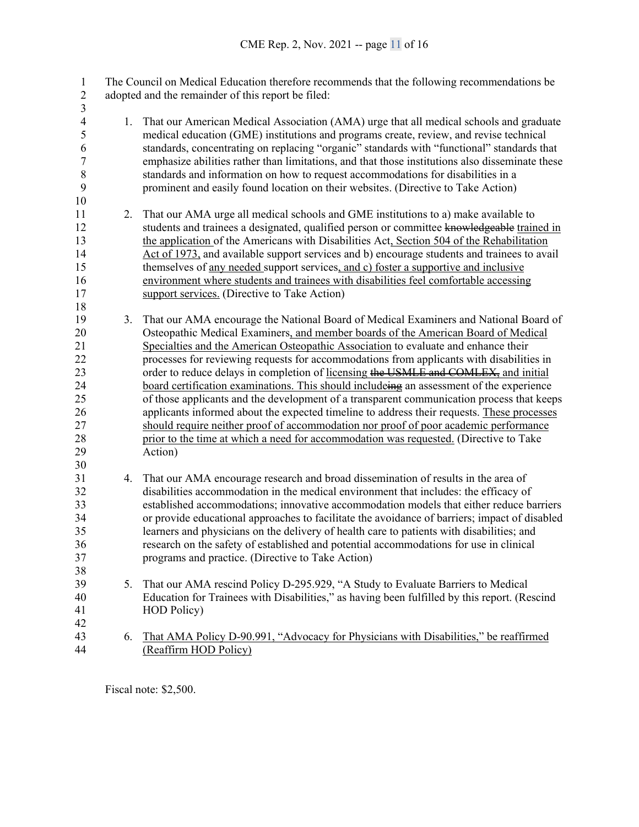| 1                        |    | The Council on Medical Education therefore recommends that the following recommendations be     |
|--------------------------|----|-------------------------------------------------------------------------------------------------|
| $\overline{2}$           |    | adopted and the remainder of this report be filed:                                              |
| 3                        |    |                                                                                                 |
| $\overline{\mathcal{A}}$ | 1. | That our American Medical Association (AMA) urge that all medical schools and graduate          |
| 5                        |    | medical education (GME) institutions and programs create, review, and revise technical          |
| 6                        |    | standards, concentrating on replacing "organic" standards with "functional" standards that      |
| $\boldsymbol{7}$         |    | emphasize abilities rather than limitations, and that those institutions also disseminate these |
| $\,8\,$                  |    | standards and information on how to request accommodations for disabilities in a                |
| 9                        |    | prominent and easily found location on their websites. (Directive to Take Action)               |
| 10                       |    |                                                                                                 |
| 11                       | 2. | That our AMA urge all medical schools and GME institutions to a) make available to              |
| 12                       |    | students and trainees a designated, qualified person or committee knowledgeable trained in      |
| 13                       |    | the application of the Americans with Disabilities Act, Section 504 of the Rehabilitation       |
| 14                       |    | Act of 1973, and available support services and b) encourage students and trainees to avail     |
| 15                       |    | themselves of <u>any needed</u> support services, and c) foster a supportive and inclusive      |
| 16<br>17                 |    | environment where students and trainees with disabilities feel comfortable accessing            |
| 18                       |    | support services. (Directive to Take Action)                                                    |
| 19                       | 3. | That our AMA encourage the National Board of Medical Examiners and National Board of            |
| 20                       |    | Osteopathic Medical Examiners, and member boards of the American Board of Medical               |
| 21                       |    | Specialties and the American Osteopathic Association to evaluate and enhance their              |
| 22                       |    | processes for reviewing requests for accommodations from applicants with disabilities in        |
| 23                       |    | order to reduce delays in completion of licensing the USMLE and COMLEX, and initial             |
| 24                       |    | board certification examinations. This should includeing an assessment of the experience        |
| 25                       |    | of those applicants and the development of a transparent communication process that keeps       |
| 26                       |    | applicants informed about the expected timeline to address their requests. These processes      |
| 27                       |    | should require neither proof of accommodation nor proof of poor academic performance            |
| 28                       |    | prior to the time at which a need for accommodation was requested. (Directive to Take           |
| 29                       |    | Action)                                                                                         |
| 30                       |    |                                                                                                 |
| 31                       | 4. | That our AMA encourage research and broad dissemination of results in the area of               |
| 32                       |    | disabilities accommodation in the medical environment that includes: the efficacy of            |
| 33                       |    | established accommodations; innovative accommodation models that either reduce barriers         |
| 34                       |    | or provide educational approaches to facilitate the avoidance of barriers; impact of disabled   |
| 35                       |    | learners and physicians on the delivery of health care to patients with disabilities; and       |
| $36\,$                   |    | research on the safety of established and potential accommodations for use in clinical          |
| 37                       |    | programs and practice. (Directive to Take Action)                                               |
| 38                       |    |                                                                                                 |
| 39                       | 5. | That our AMA rescind Policy D-295.929, "A Study to Evaluate Barriers to Medical                 |
| 40                       |    | Education for Trainees with Disabilities," as having been fulfilled by this report. (Rescind    |
| 41                       |    | <b>HOD</b> Policy)                                                                              |
| 42                       |    |                                                                                                 |
| 43                       | 6. | That AMA Policy D-90.991, "Advocacy for Physicians with Disabilities," be reaffirmed            |
| 44                       |    | (Reaffirm HOD Policy)                                                                           |

Fiscal note: \$2,500.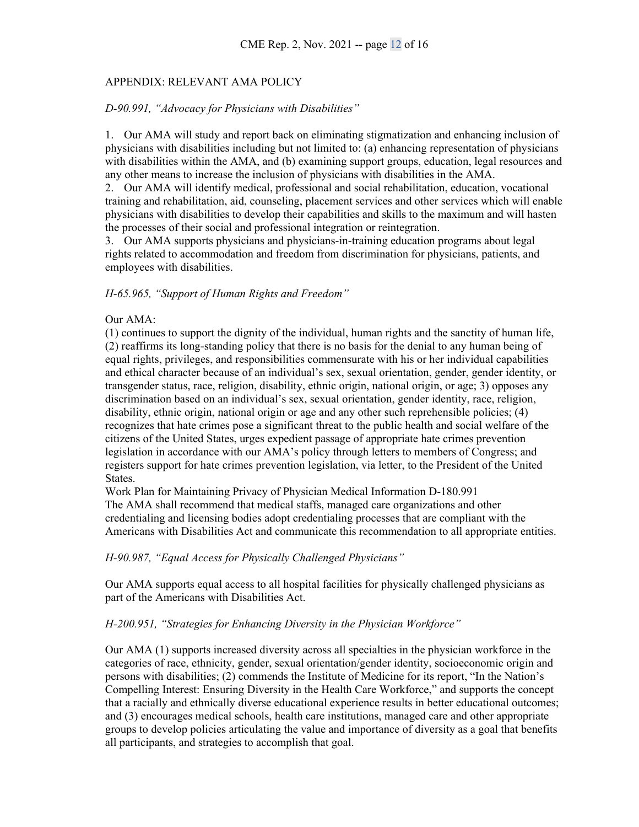## APPENDIX: RELEVANT AMA POLICY

#### *D-90.991, "Advocacy for Physicians with Disabilities"*

1. Our AMA will study and report back on eliminating stigmatization and enhancing inclusion of physicians with disabilities including but not limited to: (a) enhancing representation of physicians with disabilities within the AMA, and (b) examining support groups, education, legal resources and any other means to increase the inclusion of physicians with disabilities in the AMA.

2. Our AMA will identify medical, professional and social rehabilitation, education, vocational training and rehabilitation, aid, counseling, placement services and other services which will enable physicians with disabilities to develop their capabilities and skills to the maximum and will hasten the processes of their social and professional integration or reintegration.

3. Our AMA supports physicians and physicians-in-training education programs about legal rights related to accommodation and freedom from discrimination for physicians, patients, and employees with disabilities.

#### *H-65.965, "Support of Human Rights and Freedom"*

#### Our AMA:

(1) continues to support the dignity of the individual, human rights and the sanctity of human life, (2) reaffirms its long-standing policy that there is no basis for the denial to any human being of equal rights, privileges, and responsibilities commensurate with his or her individual capabilities and ethical character because of an individual's sex, sexual orientation, gender, gender identity, or transgender status, race, religion, disability, ethnic origin, national origin, or age; 3) opposes any discrimination based on an individual's sex, sexual orientation, gender identity, race, religion, disability, ethnic origin, national origin or age and any other such reprehensible policies; (4) recognizes that hate crimes pose a significant threat to the public health and social welfare of the citizens of the United States, urges expedient passage of appropriate hate crimes prevention legislation in accordance with our AMA's policy through letters to members of Congress; and registers support for hate crimes prevention legislation, via letter, to the President of the United States.

Work Plan for Maintaining Privacy of Physician Medical Information D-180.991 The AMA shall recommend that medical staffs, managed care organizations and other credentialing and licensing bodies adopt credentialing processes that are compliant with the Americans with Disabilities Act and communicate this recommendation to all appropriate entities.

#### *H-90.987, "Equal Access for Physically Challenged Physicians"*

Our AMA supports equal access to all hospital facilities for physically challenged physicians as part of the Americans with Disabilities Act.

### *H-200.951, "Strategies for Enhancing Diversity in the Physician Workforce"*

Our AMA (1) supports increased diversity across all specialties in the physician workforce in the categories of race, ethnicity, gender, sexual orientation/gender identity, socioeconomic origin and persons with disabilities; (2) commends the Institute of Medicine for its report, "In the Nation's Compelling Interest: Ensuring Diversity in the Health Care Workforce," and supports the concept that a racially and ethnically diverse educational experience results in better educational outcomes; and (3) encourages medical schools, health care institutions, managed care and other appropriate groups to develop policies articulating the value and importance of diversity as a goal that benefits all participants, and strategies to accomplish that goal.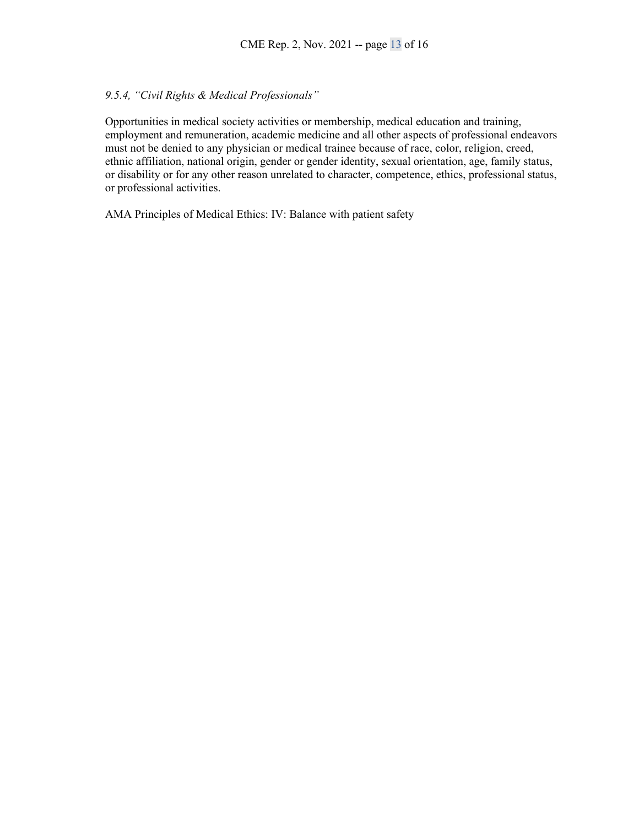## *9.5.4, "Civil Rights & Medical Professionals"*

Opportunities in medical society activities or membership, medical education and training, employment and remuneration, academic medicine and all other aspects of professional endeavors must not be denied to any physician or medical trainee because of race, color, religion, creed, ethnic affiliation, national origin, gender or gender identity, sexual orientation, age, family status, or disability or for any other reason unrelated to character, competence, ethics, professional status, or professional activities.

AMA Principles of Medical Ethics: IV: Balance with patient safety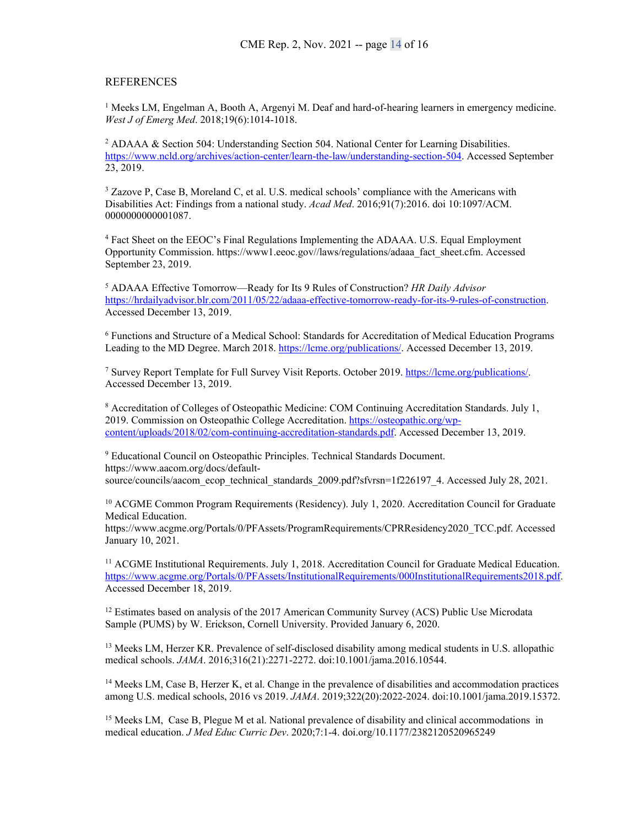#### **REFERENCES**

<sup>1</sup> Meeks LM, Engelman A, Booth A, Argenyi M. Deaf and hard-of-hearing learners in emergency medicine. *West J of Emerg Med*. 2018;19(6):1014-1018.

<sup>2</sup> ADAAA & Section 504: Understanding Section 504. National Center for Learning Disabilities. [https://www.ncld.org/archives/action-center/learn-the-law/understanding-section-504.](https://www.ncld.org/archives/action-center/learn-the-law/understanding-section-504) Accessed September 23, 2019.

<sup>3</sup> Zazove P, Case B, Moreland C, et al. U.S. medical schools' compliance with the Americans with Disabilities Act: Findings from a national study. *Acad Med*. 2016;91(7):2016. doi 10:1097/ACM. 0000000000001087.

<sup>4</sup> Fact Sheet on the EEOC's Final Regulations Implementing the ADAAA. U.S. Equal Employment Opportunity Commission. https://www1.eeoc.gov//laws/regulations/adaaa\_fact\_sheet.cfm. Accessed September 23, 2019.

<sup>5</sup> ADAAA Effective Tomorrow—Ready for Its 9 Rules of Construction? *HR Daily Advisor* [https://hrdailyadvisor.blr.com/2011/05/22/adaaa-effective-tomorrow-ready-for-its-9-rules-of-construction.](https://hrdailyadvisor.blr.com/2011/05/22/adaaa-effective-tomorrow-ready-for-its-9-rules-of-construction)  Accessed December 13, 2019.

<sup>6</sup> Functions and Structure of a Medical School: Standards for Accreditation of Medical Education Programs Leading to the MD Degree. March 2018. [https://lcme.org/publications/.](https://lcme.org/publications/) Accessed December 13, 2019.

<sup>7</sup> Survey Report Template for Full Survey Visit Reports. October 2019[. https://lcme.org/publications/.](https://lcme.org/publications/) Accessed December 13, 2019.

<sup>8</sup> Accreditation of Colleges of Osteopathic Medicine: COM Continuing Accreditation Standards. July 1, 2019. Commission on Osteopathic College Accreditation[. https://osteopathic.org/wp](https://osteopathic.org/wp-content/uploads/2018/02/com-continuing-accreditation-standards.pdf)[content/uploads/2018/02/com-continuing-accreditation-standards.pdf.](https://osteopathic.org/wp-content/uploads/2018/02/com-continuing-accreditation-standards.pdf) Accessed December 13, 2019.

<sup>9</sup> Educational Council on Osteopathic Principles. Technical Standards Document. https://www.aacom.org/docs/defaultsource/councils/aacom\_ecop\_technical\_standards\_2009.pdf?sfvrsn=1f226197\_4. Accessed July 28, 2021.

<sup>10</sup> ACGME Common Program Requirements (Residency). July 1, 2020. Accreditation Council for Graduate Medical Education.

https://www.acgme.org/Portals/0/PFAssets/ProgramRequirements/CPRResidency2020\_TCC.pdf. Accessed January 10, 2021.

<sup>11</sup> ACGME Institutional Requirements. July 1, 2018. Accreditation Council for Graduate Medical Education. [https://www.acgme.org/Portals/0/PFAssets/InstitutionalRequirements/000InstitutionalRequirements2018.pdf.](https://www.acgme.org/Portals/0/PFAssets/InstitutionalRequirements/000InstitutionalRequirements2018.pdf) Accessed December 18, 2019.

<sup>12</sup> Estimates based on analysis of the 2017 American Community Survey (ACS) Public Use Microdata Sample (PUMS) by W. Erickson, Cornell University. Provided January 6, 2020.

<sup>13</sup> Meeks LM, Herzer KR. Prevalence of self-disclosed disability among medical students in U.S. allopathic medical schools. *JAMA*. 2016;316(21):2271-2272. doi:10.1001/jama.2016.10544.

<sup>14</sup> Meeks LM, Case B, Herzer K, et al. Change in the prevalence of disabilities and accommodation practices among U.S. medical schools, 2016 vs 2019. *JAMA*. 2019;322(20):2022-2024. doi:10.1001/jama.2019.15372.

<sup>15</sup> Meeks LM, Case B, Plegue M et al. National prevalence of disability and clinical accommodations in medical education. *J Med Educ Curric Dev*. 2020;7:1-4. doi.org/10.1177/2382120520965249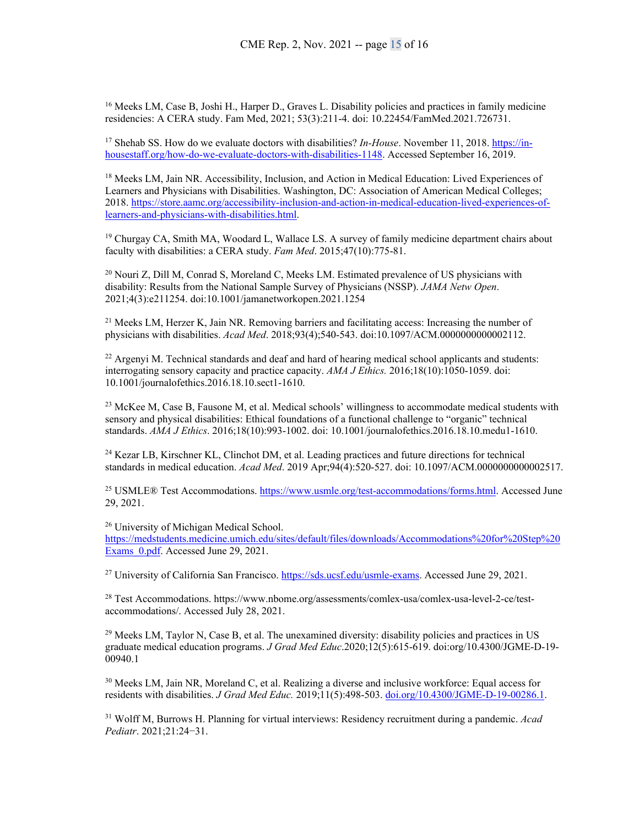<span id="page-15-0"></span><sup>16</sup> Meeks LM, Case B, Joshi H., Harper D., Graves L. Disability policies and practices in family medicine residencies: A CERA study. Fam Med, 2021; 53(3):211-4. doi: 10.22454/FamMed.2021.726731.

<span id="page-15-1"></span><sup>17</sup> Shehab SS. How do we evaluate doctors with disabilities? *In-House*. November 11, 2018[. https://in](https://in-housestaff.org/how-do-we-evaluate-doctors-with-disabilities-1148)[housestaff.org/how-do-we-evaluate-doctors-with-disabilities-1148.](https://in-housestaff.org/how-do-we-evaluate-doctors-with-disabilities-1148) Accessed September 16, 2019.

<span id="page-15-2"></span><sup>18</sup> Meeks LM, Jain NR. Accessibility, Inclusion, and Action in Medical Education: Lived Experiences of Learners and Physicians with Disabilities. Washington, DC: Association of American Medical Colleges; 2018. [https://store.aamc.org/accessibility-inclusion-and-action-in-medical-education-lived-experiences-of](https://store.aamc.org/accessibility-inclusion-and-action-in-medical-education-lived-experiences-of-learners-and-physicians-with-disabilities.html)[learners-and-physicians-with-disabilities.html.](https://store.aamc.org/accessibility-inclusion-and-action-in-medical-education-lived-experiences-of-learners-and-physicians-with-disabilities.html) 

<span id="page-15-3"></span> $19$  Churgay CA, Smith MA, Woodard L, Wallace LS. A survey of family medicine department chairs about faculty with disabilities: a CERA study. *Fam Med*. 2015;47(10):775-81.

<span id="page-15-4"></span><sup>20</sup> Nouri Z, Dill M, Conrad S, Moreland C, Meeks LM. Estimated prevalence of US physicians with disability: Results from the National Sample Survey of Physicians (NSSP). *JAMA Netw Open*. 2021;4(3):e211254. doi:10.1001/jamanetworkopen.2021.1254

<span id="page-15-5"></span><sup>21</sup> Meeks LM, Herzer K, Jain NR. Removing barriers and facilitating access: Increasing the number of physicians with disabilities. *Acad Med*. 2018;93(4);540-543. doi:10.1097/ACM.0000000000002112.

<span id="page-15-6"></span><sup>22</sup> Argenyi M. Technical standards and deaf and hard of hearing medical school applicants and students: interrogating sensory capacity and practice capacity. *AMA J Ethics.* 2016;18(10):1050-1059. doi: 10.1001/journalofethics.2016.18.10.sect1-1610.

<span id="page-15-7"></span><sup>23</sup> McKee M, Case B, Fausone M, et al. Medical schools' willingness to accommodate medical students with sensory and physical disabilities: Ethical foundations of a functional challenge to "organic" technical standards. *AMA J Ethics*. 2016;18(10):993-1002. doi: 10.1001/journalofethics.2016.18.10.medu1-1610.

<span id="page-15-8"></span><sup>24</sup> Kezar LB, Kirschner KL, Clinchot DM, et al. Leading practices and future directions for technical standards in medical education. *Acad Med*. 2019 Apr;94(4):520-527. doi: 10.1097/ACM.0000000000002517.

<span id="page-15-9"></span><sup>25</sup> USMLE® Test Accommodations. [https://www.usmle.org/test-accommodations/forms.html.](https://www.usmle.org/test-accommodations/forms.html) Accessed June 29, 2021.

<sup>26</sup> University of Michigan Medical School.

[https://medstudents.medicine.umich.edu/sites/default/files/downloads/Accommodations%20for%20Step%20](https://medstudents.medicine.umich.edu/sites/default/files/downloads/Accommodations%20for%20Step%20Exams_0.pdf) Exams 0.pdf. Accessed June 29, 2021.

<span id="page-15-10"></span><sup>27</sup> University of California San Francisco. [https://sds.ucsf.edu/usmle-exams.](https://sds.ucsf.edu/usmle-exams) Accessed June 29, 2021.

<span id="page-15-11"></span><sup>28</sup> Test Accommodations. https://www.nbome.org/assessments/comlex-usa/comlex-usa-level-2-ce/testaccommodations/. Accessed July 28, 2021.

<span id="page-15-12"></span> $^{29}$  Meeks LM, Taylor N, Case B, et al. The unexamined diversity: disability policies and practices in US graduate medical education programs. *J Grad Med Educ*.2020;12(5):615-619. doi:org/10.4300/JGME-D-19- 00940.1

<span id="page-15-13"></span><sup>30</sup> Meeks LM, Jain NR, Moreland C, et al. Realizing a diverse and inclusive workforce: Equal access for residents with disabilities. *J Grad Med Educ.* 2019;11(5):498-503. doi.org/10.4300/JGME-D-19-00286.1.

<span id="page-15-14"></span><sup>31</sup> Wolff M, Burrows H. Planning for virtual interviews: Residency recruitment during a pandemic. *Acad Pediatr*. 2021;21:24−31.